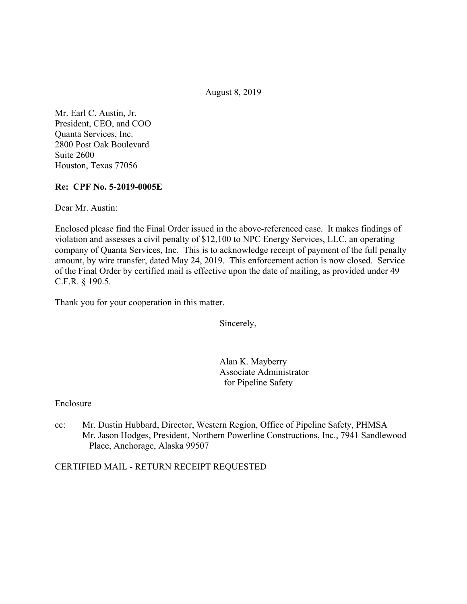August 8, 2019

Mr. Earl C. Austin, Jr. President, CEO, and COO Quanta Services, Inc. 2800 Post Oak Boulevard Suite 2600 Houston, Texas 77056

## **Re: CPF No. 5-2019-0005E**

Dear Mr. Austin:

Enclosed please find the Final Order issued in the above-referenced case. It makes findings of violation and assesses a civil penalty of \$12,100 to NPC Energy Services, LLC, an operating company of Quanta Services, Inc. This is to acknowledge receipt of payment of the full penalty amount, by wire transfer, dated May 24, 2019. This enforcement action is now closed. Service of the Final Order by certified mail is effective upon the date of mailing, as provided under 49 C.F.R. § 190.5.

Thank you for your cooperation in this matter.

Sincerely,

Alan K. Mayberry Associate Administrator for Pipeline Safety

#### Enclosure

cc: Mr. Dustin Hubbard, Director, Western Region, Office of Pipeline Safety, PHMSA Mr. Jason Hodges, President, Northern Powerline Constructions, Inc., 7941 Sandlewood Place, Anchorage, Alaska 99507

#### CERTIFIED MAIL - RETURN RECEIPT REQUESTED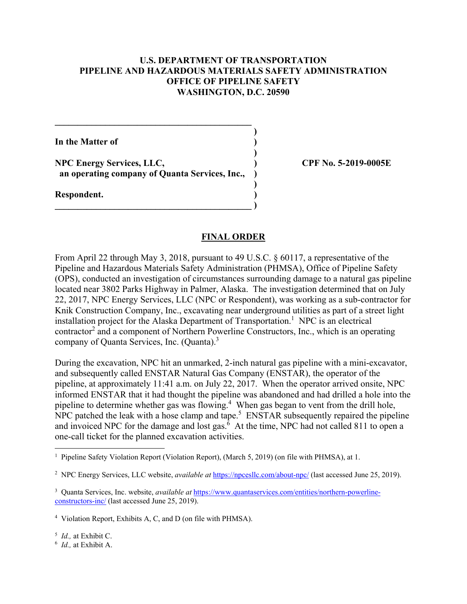### **U.S. DEPARTMENT OF TRANSPORTATION PIPELINE AND HAZARDOUS MATERIALS SAFETY ADMINISTRATION OFFICE OF PIPELINE SAFETY WASHINGTON, D.C. 20590**

**)**

 **)**

**)**

**In the Matter of )**

**NPC Energy Services, LLC, ) CPF No. 5-2019-0005E an operating company of Quanta Services, Inc., )** 

 $\overline{\phantom{a}}$ 

**\_\_\_\_\_\_\_\_\_\_\_\_\_\_\_\_\_\_\_\_\_\_\_\_\_\_\_\_\_\_\_\_\_\_\_\_\_\_\_\_\_\_\_** 

**Respondent. )** 

#### **FINAL ORDER**

From April 22 through May 3, 2018, pursuant to 49 U.S.C. § 60117, a representative of the Pipeline and Hazardous Materials Safety Administration (PHMSA), Office of Pipeline Safety (OPS), conducted an investigation of circumstances surrounding damage to a natural gas pipeline located near 3802 Parks Highway in Palmer, Alaska. The investigation determined that on July 22, 2017, NPC Energy Services, LLC (NPC or Respondent), was working as a sub-contractor for Knik Construction Company, Inc., excavating near underground utilities as part of a street light installation project for the Alaska Department of Transportation.<sup>1</sup> NPC is an electrical contractor<sup>2</sup> and a component of Northern Powerline Constructors, Inc., which is an operating company of Quanta Services, Inc. (Quanta).3

During the excavation, NPC hit an unmarked, 2-inch natural gas pipeline with a mini-excavator, and subsequently called ENSTAR Natural Gas Company (ENSTAR), the operator of the pipeline, at approximately 11:41 a.m. on July 22, 2017. When the operator arrived onsite, NPC informed ENSTAR that it had thought the pipeline was abandoned and had drilled a hole into the pipeline to determine whether gas was flowing.<sup>4</sup> When gas began to vent from the drill hole,  $NPC$  patched the leak with a hose clamp and tape.<sup>5</sup> ENSTAR subsequently repaired the pipeline and invoiced NPC for the damage and lost gas. $6$  At the time, NPC had not called 811 to open a one-call ticket for the planned excavation activities.

<sup>5</sup> *Id.,* at Exhibit C.

The Safety Violation Report (Violation Report), (March 5, 2019) (on file with PHMSA), at 1.

<sup>&</sup>lt;sup>2</sup> NPC Energy Services, LLC website, *available at <https://npcesllc.com/about-npc>/* (last accessed June 25, 2019).

<sup>3</sup> Quanta Services, Inc. website, *available at* <https://www.quantaservices.com/entities/northern-powerline>constructors-inc/ (last accessed June 25, 2019).

<sup>4</sup> Violation Report, Exhibits A, C, and D (on file with PHMSA).

 <sup>6</sup> *Id.,* at Exhibit A.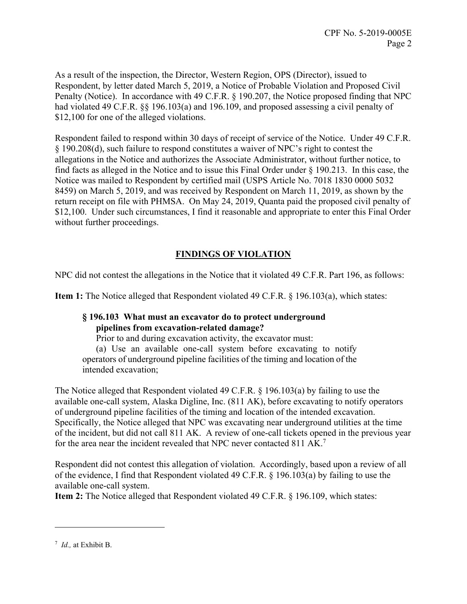As a result of the inspection, the Director, Western Region, OPS (Director), issued to Respondent, by letter dated March 5, 2019, a Notice of Probable Violation and Proposed Civil Penalty (Notice). In accordance with 49 C.F.R. § 190.207, the Notice proposed finding that NPC had violated 49 C.F.R.  $\S$  196.103(a) and 196.109, and proposed assessing a civil penalty of \$12,100 for one of the alleged violations.

Respondent failed to respond within 30 days of receipt of service of the Notice. Under 49 C.F.R. § 190.208(d), such failure to respond constitutes a waiver of NPC's right to contest the allegations in the Notice and authorizes the Associate Administrator, without further notice, to find facts as alleged in the Notice and to issue this Final Order under § 190.213. In this case, the Notice was mailed to Respondent by certified mail (USPS Article No. 7018 1830 0000 5032 8459) on March 5, 2019, and was received by Respondent on March 11, 2019, as shown by the return receipt on file with PHMSA. On May 24, 2019, Quanta paid the proposed civil penalty of \$12,100. Under such circumstances, I find it reasonable and appropriate to enter this Final Order without further proceedings.

# **FINDINGS OF VIOLATION**

NPC did not contest the allegations in the Notice that it violated 49 C.F.R. Part 196, as follows:

**Item 1:** The Notice alleged that Respondent violated 49 C.F.R. § 196.103(a), which states:

## **§ 196.103 What must an excavator do to protect underground pipelines from excavation-related damage?**

Prior to and during excavation activity, the excavator must:

(a) Use an available one-call system before excavating to notify operators of underground pipeline facilities of the timing and location of the intended excavation;

The Notice alleged that Respondent violated 49 C.F.R. § 196.103(a) by failing to use the available one-call system, Alaska Digline, Inc. (811 AK), before excavating to notify operators of underground pipeline facilities of the timing and location of the intended excavation. Specifically, the Notice alleged that NPC was excavating near underground utilities at the time of the incident, but did not call 811 AK. A review of one-call tickets opened in the previous year for the area near the incident revealed that NPC never contacted 811 AK.<sup>7</sup>

Respondent did not contest this allegation of violation. Accordingly, based upon a review of all of the evidence, I find that Respondent violated 49 C.F.R. § 196.103(a) by failing to use the available one-call system.

**Item 2:** The Notice alleged that Respondent violated 49 C.F.R. § 196.109, which states:

 $\overline{a}$ 

 <sup>7</sup> *Id.,* at Exhibit B.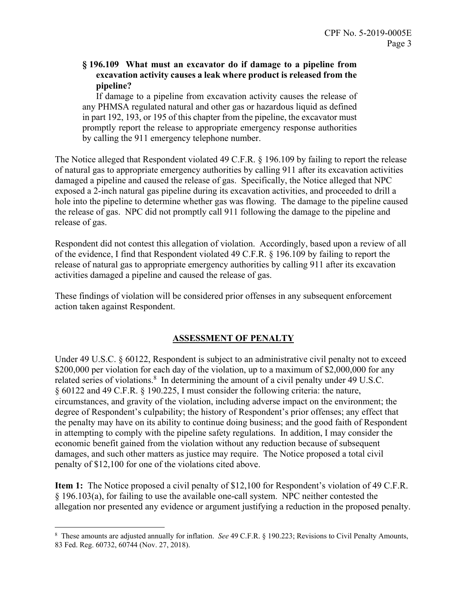## **§ 196.109 What must an excavator do if damage to a pipeline from excavation activity causes a leak where product is released from the pipeline?**

 in part 192, 193, or 195 of this chapter from the pipeline, the excavator must If damage to a pipeline from excavation activity causes the release of any PHMSA regulated natural and other gas or hazardous liquid as defined promptly report the release to appropriate emergency response authorities by calling the 911 emergency telephone number.

The Notice alleged that Respondent violated 49 C.F.R. § 196.109 by failing to report the release of natural gas to appropriate emergency authorities by calling 911 after its excavation activities damaged a pipeline and caused the release of gas. Specifically, the Notice alleged that NPC exposed a 2-inch natural gas pipeline during its excavation activities, and proceeded to drill a hole into the pipeline to determine whether gas was flowing. The damage to the pipeline caused the release of gas. NPC did not promptly call 911 following the damage to the pipeline and release of gas.

Respondent did not contest this allegation of violation. Accordingly, based upon a review of all of the evidence, I find that Respondent violated 49 C.F.R. § 196.109 by failing to report the release of natural gas to appropriate emergency authorities by calling 911 after its excavation activities damaged a pipeline and caused the release of gas.

These findings of violation will be considered prior offenses in any subsequent enforcement action taken against Respondent.

## **ASSESSMENT OF PENALTY**

Under 49 U.S.C. § 60122, Respondent is subject to an administrative civil penalty not to exceed \$200,000 per violation for each day of the violation, up to a maximum of \$2,000,000 for any related series of violations. $8\,$  In determining the amount of a civil penalty under 49 U.S.C. § 60122 and 49 C.F.R. § 190.225, I must consider the following criteria: the nature, circumstances, and gravity of the violation, including adverse impact on the environment; the degree of Respondent's culpability; the history of Respondent's prior offenses; any effect that the penalty may have on its ability to continue doing business; and the good faith of Respondent in attempting to comply with the pipeline safety regulations. In addition, I may consider the economic benefit gained from the violation without any reduction because of subsequent damages, and such other matters as justice may require. The Notice proposed a total civil penalty of \$12,100 for one of the violations cited above.

**Item 1:** The Notice proposed a civil penalty of \$12,100 for Respondent's violation of 49 C.F.R. § 196.103(a), for failing to use the available one-call system. NPC neither contested the allegation nor presented any evidence or argument justifying a reduction in the proposed penalty.

 $\overline{a}$ 

<sup>8</sup> These amounts are adjusted annually for inflation. *See* 49 C.F.R. § 190.223; Revisions to Civil Penalty Amounts, 83 Fed. Reg. 60732, 60744 (Nov. 27, 2018).